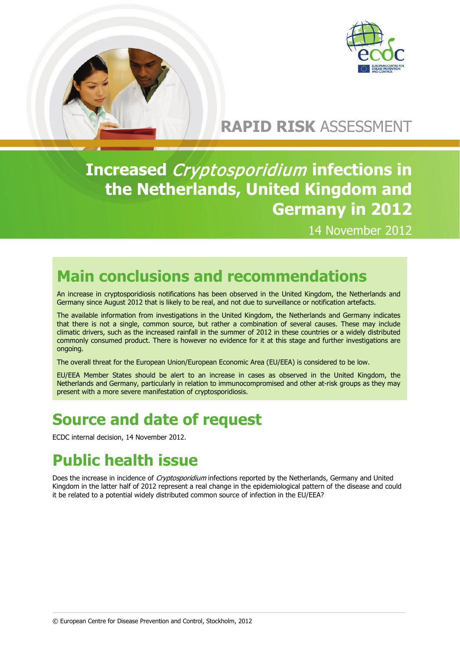

# **RAPID RISK** ASSESSMENT

**Increased** Cryptosporidium **infections in the Netherlands, United Kingdom and Germany in 2012**

14 November 2012

# **Main conclusions and recommendations**

An increase in cryptosporidiosis notifications has been observed in the United Kingdom, the Netherlands and Germany since August 2012 that is likely to be real, and not due to surveillance or notification artefacts.

The available information from investigations in the United Kingdom, the Netherlands and Germany indicates that there is not a single, common source, but rather a combination of several causes. These may include climatic drivers, such as the increased rainfall in the summer of 2012 in these countries or a widely distributed commonly consumed product. There is however no evidence for it at this stage and further investigations are ongoing.

The overall threat for the European Union/European Economic Area (EU/EEA) is considered to be low.

EU/EEA Member States should be alert to an increase in cases as observed in the United Kingdom, the Netherlands and Germany, particularly in relation to immunocompromised and other at-risk groups as they may present with a more severe manifestation of cryptosporidiosis.

## **Source and date of request**

ECDC internal decision, 14 November 2012.

# **Public health issue**

Does the increase in incidence of Cryptosporidium infections reported by the Netherlands, Germany and United Kingdom in the latter half of 2012 represent a real change in the epidemiological pattern of the disease and could it be related to a potential widely distributed common source of infection in the EU/EEA?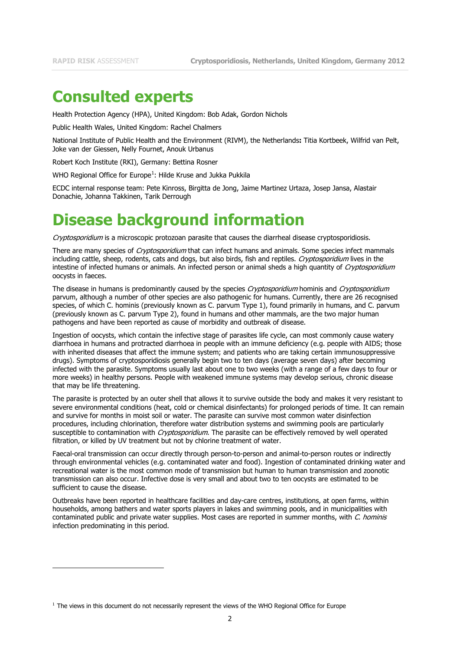j

#### **Consulted experts**

Health Protection Agency (HPA), United Kingdom: Bob Adak, Gordon Nichols

Public Health Wales, United Kingdom: Rachel Chalmers

National Institute of Public Health and the Environment (RIVM), the Netherlands**:** Titia Kortbeek, Wilfrid van Pelt, Joke van der Giessen, Nelly Fournet, Anouk Urbanus

Robert Koch Institute (RKI), Germany: Bettina Rosner

WHO Regional Office for Europe<sup>[1](#page-1-0)</sup>: Hilde Kruse and Jukka Pukkila

ECDC internal response team: Pete Kinross, Birgitta de Jong, Jaime Martinez Urtaza, Josep Jansa, Alastair Donachie, Johanna Takkinen, Tarik Derrough

## **Disease background information**

Cryptosporidium is a microscopic protozoan parasite that causes the diarrheal disease cryptosporidiosis.

There are many species of Cryptosporidium that can infect humans and animals. Some species infect mammals including cattle, sheep, rodents, cats and dogs, but also birds, fish and reptiles. Cryptosporidium lives in the intestine of infected humans or animals. An infected person or animal sheds a high quantity of Cryptosporidium oocysts in faeces.

The disease in humans is predominantly caused by the species Cryptosporidium hominis and Cryptosporidium parvum, although a number of other species are also pathogenic for humans. Currently, there are 26 recognised species, of which C. hominis (previously known as C. parvum Type 1), found primarily in humans, and C. parvum (previously known as C. parvum Type 2), found in humans and other mammals, are the two major human pathogens and have been reported as cause of morbidity and outbreak of disease.

Ingestion of oocysts, which contain the infective stage of parasites life cycle, can most commonly cause watery diarrhoea in humans and protracted diarrhoea in people with an immune deficiency (e.g. people with AIDS; those with inherited diseases that affect the immune system; and patients who are taking certain immunosuppressive drugs). Symptoms of cryptosporidiosis generally begin two to ten days (average seven days) after becoming infected with the parasite. Symptoms usually last about one to two weeks (with a range of a few days to four or more weeks) in healthy persons. People with weakened immune systems may develop serious, chronic disease that may be life threatening.

The parasite is protected by an outer shell that allows it to survive outside the body and makes it very resistant to severe environmental conditions (heat, cold or chemical disinfectants) for prolonged periods of time. It can remain and survive for months in moist soil or water. The parasite can survive most common water disinfection procedures, including chlorination, therefore water distribution systems and swimming pools are particularly susceptible to contamination with *Cryptosporidium*. The parasite can be effectively removed by well operated filtration, or killed by UV treatment but not by chlorine treatment of water.

Faecal-oral transmission can occur directly through person-to-person and animal-to-person routes or indirectly through environmental vehicles (e.g. contaminated water and food). Ingestion of contaminated drinking water and recreational water is the most common mode of transmission but human to human transmission and zoonotic transmission can also occur. Infective dose is very small and about two to ten oocysts are estimated to be sufficient to cause the disease.

Outbreaks have been reported in healthcare facilities and day-care centres, institutions, at open farms, within households, among bathers and water sports players in lakes and swimming pools, and in municipalities with contaminated public and private water supplies. Most cases are reported in summer months, with C. hominis infection predominating in this period.

<span id="page-1-1"></span><span id="page-1-0"></span> $1$  The views in this document do not necessarily represent the views of the WHO Regional Office for Europe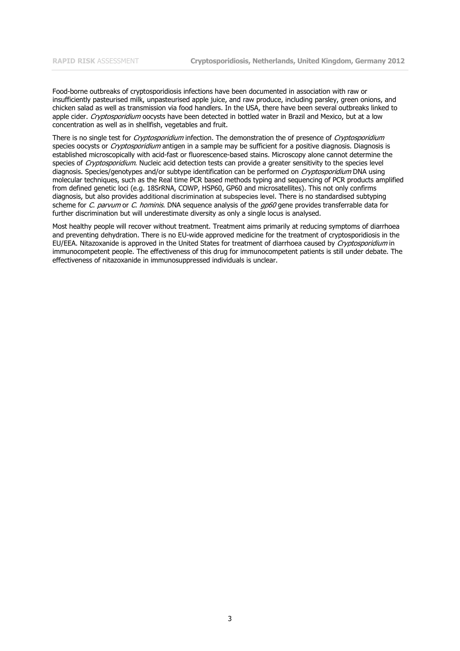Food-borne outbreaks of cryptosporidiosis infections have been documented in association with raw or insufficiently pasteurised milk, unpasteurised apple juice, and raw produce, including parsley, green onions, and chicken salad as well as transmission via food handlers. In the USA, there have been several outbreaks linked to apple cider. Cryptosporidium oocysts have been detected in bottled water in Brazil and Mexico, but at a low concentration as well as in shellfish, vegetables and fruit.

There is no single test for Cryptosporidium infection. The demonstration the of presence of Cryptosporidium species oocysts or Cryptosporidium antigen in a sample may be sufficient for a positive diagnosis. Diagnosis is established microscopically with acid-fast or fluorescence-based stains. Microscopy alone cannot determine the species of Cryptosporidium. Nucleic acid detection tests can provide a greater sensitivity to the species level diagnosis. Species/genotypes and/or subtype identification can be performed on *Cryptosporidium* DNA using molecular techniques, such as the Real time PCR based methods typing and sequencing of PCR products amplified from defined genetic loci (e.g. 18SrRNA, COWP, HSP60, GP60 and microsatellites). This not only confirms diagnosis, but also provides additional discrimination at subspecies level. There is no standardised subtyping scheme for C. parvum or C. hominis. DNA sequence analysis of the gp60 gene provides transferrable data for further discrimination but will underestimate diversity as only a single locus is analysed.

Most healthy people will recover without treatment. Treatment aims primarily at reducing symptoms of diarrhoea and preventing dehydration. There is no EU-wide approved medicine for the treatment of cryptosporidiosis in the EU/EEA. Nitazoxanide is approved in the United States for treatment of diarrhoea caused by Cryptosporidium in immunocompetent people. The effectiveness of this drug for immunocompetent patients is still under debate. The effectiveness of nitazoxanide in immunosuppressed individuals is unclear.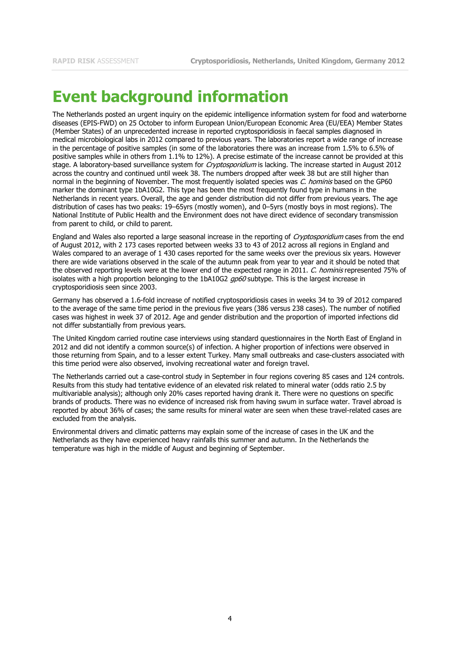## **Event background information**

The Netherlands posted an urgent inquiry on the epidemic intelligence information system for food and waterborne diseases (EPIS-FWD) on 25 October to inform European Union/European Economic Area (EU/EEA) Member States (Member States) of an unprecedented increase in reported cryptosporidiosis in faecal samples diagnosed in medical microbiological labs in 2012 compared to previous years. The laboratories report a wide range of increase in the percentage of positive samples (in some of the laboratories there was an increase from 1.5% to 6.5% of positive samples while in others from 1.1% to 12%). A precise estimate of the increase cannot be provided at this stage. A laboratory-based surveillance system for Cryptosporidium is lacking. The increase started in August 2012 across the country and continued until week 38. The numbers dropped after week 38 but are still higher than normal in the beginning of November. The most frequently isolated species was C. hominis based on the GP60 marker the dominant type 1bA10G2. This type has been the most frequently found type in humans in the Netherlands in recent years. Overall, the age and gender distribution did not differ from previous years. The age distribution of cases has two peaks: 19–65yrs (mostly women), and 0–5yrs (mostly boys in most regions). The National Institute of Public Health and the Environment does not have direct evidence of secondary transmission from parent to child, or child to parent.

England and Wales also reported a large seasonal increase in the reporting of Cryptosporidium cases from the end of August 2012, with 2 173 cases reported between weeks 33 to 43 of 2012 across all regions in England and Wales compared to an average of 1 430 cases reported for the same weeks over the previous six years. However there are wide variations observed in the scale of the autumn peak from year to year and it should be noted that the observed reporting levels were at the lower end of the expected range in 2011. C. hominis represented 75% of isolates with a high proportion belonging to the 1bA10G2 gp60 subtype. This is the largest increase in cryptosporidiosis seen since 2003.

Germany has observed a 1.6-fold increase of notified cryptosporidiosis cases in weeks 34 to 39 of 2012 compared to the average of the same time period in the previous five years (386 versus 238 cases). The number of notified cases was highest in week 37 of 2012. Age and gender distribution and the proportion of imported infections did not differ substantially from previous years.

The United Kingdom carried routine case interviews using standard questionnaires in the North East of England in 2012 and did not identify a common source(s) of infection. A higher proportion of infections were observed in those returning from Spain, and to a lesser extent Turkey. Many small outbreaks and case-clusters associated with this time period were also observed, involving recreational water and foreign travel.

The Netherlands carried out a case-control study in September in four regions covering 85 cases and 124 controls. Results from this study had tentative evidence of an elevated risk related to mineral water (odds ratio 2.5 by multivariable analysis); although only 20% cases reported having drank it. There were no questions on specific brands of products. There was no evidence of increased risk from having swum in surface water. Travel abroad is reported by about 36% of cases; the same results for mineral water are seen when these travel-related cases are excluded from the analysis.

Environmental drivers and climatic patterns may explain some of the increase of cases in the UK and the Netherlands as they have experienced heavy rainfalls this summer and autumn. In the Netherlands the temperature was high in the middle of August and beginning of September.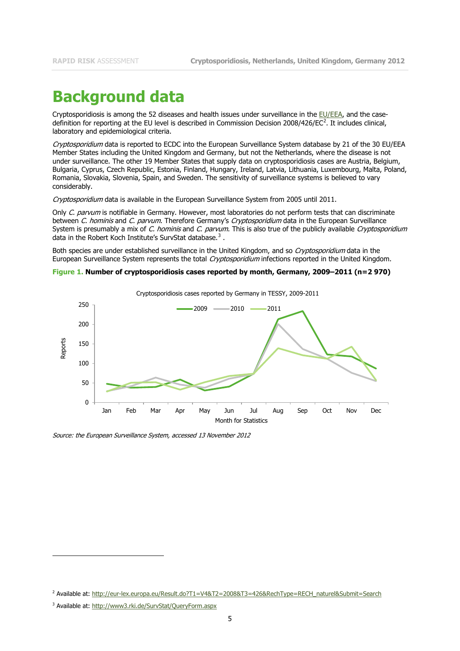#### **Background data**

Cryptosporidiosis is among the 52 diseases and health issues under surveillance in the [EU/EEA,](http://ec.europa.eu/health/communicable_diseases/early_warning/comm_legislation_en.htm) and the case-definition for reporting at the EU level is described in Commission Decision [2](#page-1-1)008/426/EC<sup>2</sup>. It includes clinical, laboratory and epidemiological criteria.

Cryptosporidium data is reported to ECDC into the European Surveillance System database by 21 of the 30 EU/EEA Member States including the United Kingdom and Germany, but not the Netherlands, where the disease is not under surveillance. The other 19 Member States that supply data on cryptosporidiosis cases are Austria, Belgium, Bulgaria, Cyprus, Czech Republic, Estonia, Finland, Hungary, Ireland, Latvia, Lithuania, Luxembourg, Malta, Poland, Romania, Slovakia, Slovenia, Spain, and Sweden. The sensitivity of surveillance systems is believed to vary considerably.

Cryptosporidium data is available in the European Surveillance System from 2005 until 2011.

Only C. parvum is notifiable in Germany. However, most laboratories do not perform tests that can discriminate between C. hominis and C. parvum. Therefore Germany's Cryptosporidium data in the European Surveillance System is presumably a mix of C. hominis and C. parvum. This is also true of the publicly available Cryptosporidium data in the Robert Koch Institute's SurvStat database. $^3$  $^3$  .

Both species are under established surveillance in the United Kingdom, and so Cryptosporidium data in the European Surveillance System represents the total Cryptosporidium infections reported in the United Kingdom.

#### <span id="page-4-1"></span>**Figure 1. Number of cryptosporidiosis cases reported by month, Germany, 2009–2011 (n=2 970)**



Source: the European Surveillance System, accessed 13 November 2012

j

<sup>&</sup>lt;sup>2</sup> Available at: http://eur-lex.europa.eu/Result.do?T1=V4&T2=2008&T3=426&RechType=RECH\_naturel&Submit=Search

<span id="page-4-0"></span><sup>3</sup> Available at:<http://www3.rki.de/SurvStat/QueryForm.aspx>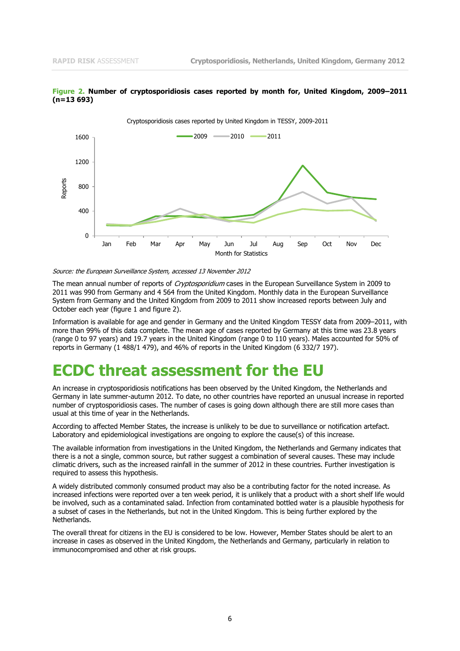

<span id="page-5-0"></span>

Source: the European Surveillance System, accessed 13 November 2012

The mean annual number of reports of Cryptosporidium cases in the European Surveillance System in 2009 to 2011 was 990 from Germany and 4 564 from the United Kingdom. Monthly data in the European Surveillance System from Germany and the United Kingdom from 2009 to 2011 show increased reports between July and October each year [\(figure 1](#page-4-1) and [figure 2\)](#page-5-0).

Information is available for age and gender in Germany and the United Kingdom TESSY data from 2009–2011, with more than 99% of this data complete. The mean age of cases reported by Germany at this time was 23.8 years (range 0 to 97 years) and 19.7 years in the United Kingdom (range 0 to 110 years). Males accounted for 50% of reports in Germany (1 488/1 479), and 46% of reports in the United Kingdom (6 332/7 197).

#### **ECDC threat assessment for the EU**

An increase in cryptosporidiosis notifications has been observed by the United Kingdom, the Netherlands and Germany in late summer-autumn 2012. To date, no other countries have reported an unusual increase in reported number of cryptosporidiosis cases. The number of cases is going down although there are still more cases than usual at this time of year in the Netherlands.

According to affected Member States, the increase is unlikely to be due to surveillance or notification artefact. Laboratory and epidemiological investigations are ongoing to explore the cause(s) of this increase.

The available information from investigations in the United Kingdom, the Netherlands and Germany indicates that there is a not a single, common source, but rather suggest a combination of several causes. These may include climatic drivers, such as the increased rainfall in the summer of 2012 in these countries. Further investigation is required to assess this hypothesis.

A widely distributed commonly consumed product may also be a contributing factor for the noted increase. As increased infections were reported over a ten week period, it is unlikely that a product with a short shelf life would be involved, such as a contaminated salad. Infection from contaminated bottled water is a plausible hypothesis for a subset of cases in the Netherlands, but not in the United Kingdom. This is being further explored by the Netherlands.

The overall threat for citizens in the EU is considered to be low. However, Member States should be alert to an increase in cases as observed in the United Kingdom, the Netherlands and Germany, particularly in relation to immunocompromised and other at risk groups.